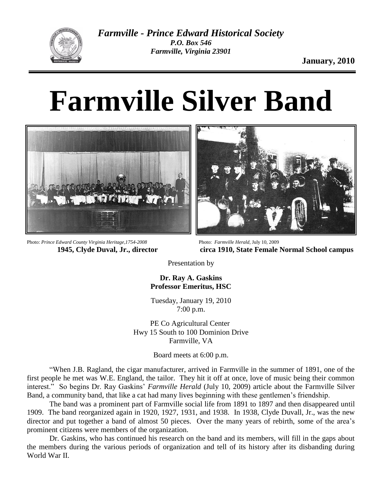

## **Farmville Silver Band**



Photo: *Prince Edward County Virginia Heritage,1754-2008* **1945, Clyde Duval, Jr., director**

Photo: *Farmville Herald*, July 10, 2009 **circa 1910, State Female Normal School campus**

Presentation by

**Dr. Ray A. Gaskins Professor Emeritus, HSC**

Tuesday, January 19, 2010 7:00 p.m.

PE Co Agricultural Center Hwy 15 South to 100 Dominion Drive Farmville, VA

Board meets at 6:00 p.m.

"When J.B. Ragland, the cigar manufacturer, arrived in Farmville in the summer of 1891, one of the first people he met was W.E. England, the tailor. They hit it off at once, love of music being their common interest." So begins Dr. Ray Gaskins' *Farmville Herald* (July 10, 2009) article about the Farmville Silver Band, a community band, that like a cat had many lives beginning with these gentlemen's friendship.

The band was a prominent part of Farmville social life from 1891 to 1897 and then disappeared until 1909. The band reorganized again in 1920, 1927, 1931, and 1938. In 1938, Clyde Duvall, Jr., was the new director and put together a band of almost 50 pieces. Over the many years of rebirth, some of the area's prominent citizens were members of the organization.

Dr. Gaskins, who has continued his research on the band and its members, will fill in the gaps about the members during the various periods of organization and tell of its history after its disbanding during World War II.